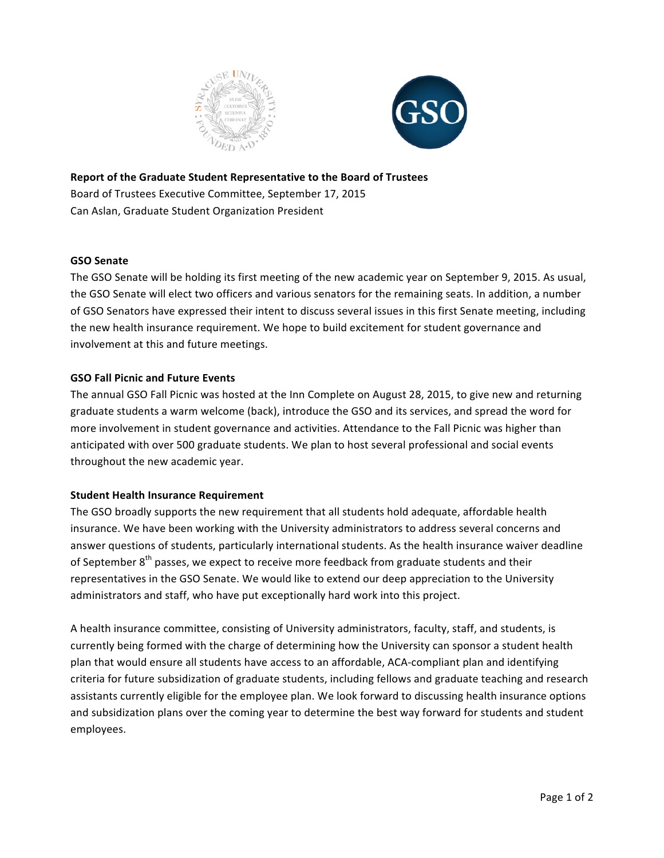



**Report of the Graduate Student Representative to the Board of Trustees** Board of Trustees Executive Committee, September 17, 2015 Can Aslan, Graduate Student Organization President

## **GSO Senate**

The GSO Senate will be holding its first meeting of the new academic year on September 9, 2015. As usual, the GSO Senate will elect two officers and various senators for the remaining seats. In addition, a number of GSO Senators have expressed their intent to discuss several issues in this first Senate meeting, including the new health insurance requirement. We hope to build excitement for student governance and involvement at this and future meetings.

## **GSO Fall Picnic and Future Events**

The annual GSO Fall Picnic was hosted at the Inn Complete on August 28, 2015, to give new and returning graduate students a warm welcome (back), introduce the GSO and its services, and spread the word for more involvement in student governance and activities. Attendance to the Fall Picnic was higher than anticipated with over 500 graduate students. We plan to host several professional and social events throughout the new academic year.

## **Student Health Insurance Requirement**

The GSO broadly supports the new requirement that all students hold adequate, affordable health insurance. We have been working with the University administrators to address several concerns and answer questions of students, particularly international students. As the health insurance waiver deadline of September  $8<sup>th</sup>$  passes, we expect to receive more feedback from graduate students and their representatives in the GSO Senate. We would like to extend our deep appreciation to the University administrators and staff, who have put exceptionally hard work into this project.

A health insurance committee, consisting of University administrators, faculty, staff, and students, is currently being formed with the charge of determining how the University can sponsor a student health plan that would ensure all students have access to an affordable, ACA-compliant plan and identifying criteria for future subsidization of graduate students, including fellows and graduate teaching and research assistants currently eligible for the employee plan. We look forward to discussing health insurance options and subsidization plans over the coming year to determine the best way forward for students and student employees.